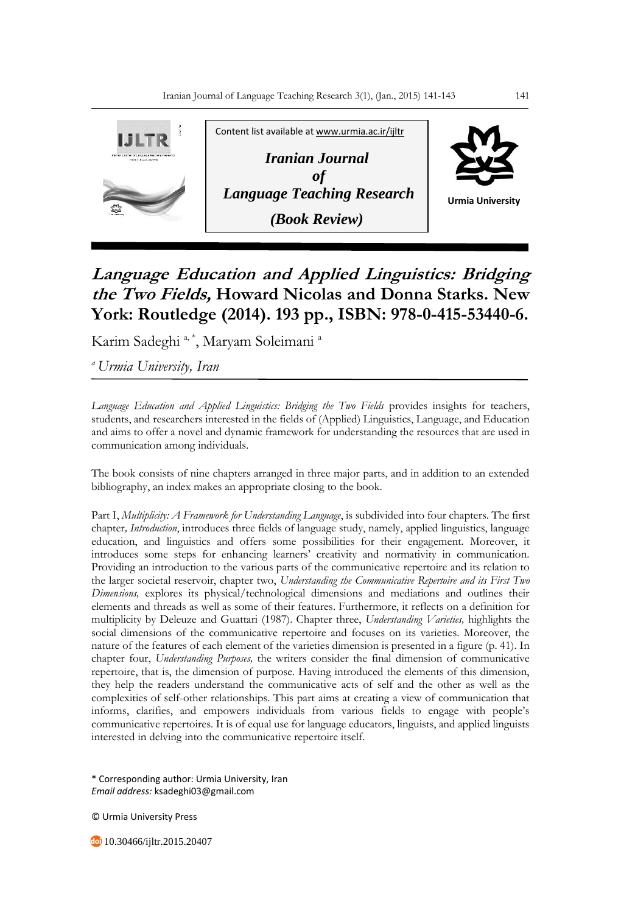

## **Language Education and Applied Linguistics: Bridging the Two Fields, Howard Nicolas and Donna Starks. New York: Routledge (2014). 193 pp., ISBN: 978-0-415-53440-6.**

Karim Sadeghi<sup>a, \*</sup>, Maryam Soleimani<sup>a</sup>

*<sup>a</sup>Urmia University, Iran*

*Language Education and Applied Linguistics: Bridging the Two Fields* provides insights for teachers, students, and researchers interested in the fields of (Applied) Linguistics, Language, and Education and aims to offer a novel and dynamic framework for understanding the resources that are used in communication among individuals.

The book consists of nine chapters arranged in three major parts, and in addition to an extended bibliography, an index makes an appropriate closing to the book.

Part I, *Multiplicity: A Framework for Understanding Language*, is subdivided into four chapters. The first chapter*, Introduction*, introduces three fields of language study, namely, applied linguistics, language education, and linguistics and offers some possibilities for their engagement. Moreover, it introduces some steps for enhancing learners' creativity and normativity in communication. Providing an introduction to the various parts of the communicative repertoire and its relation to the larger societal reservoir, chapter two, *Understanding the Communicative Repertoire and its First Two Dimensions,* explores its physical/technological dimensions and mediations and outlines their elements and threads as well as some of their features. Furthermore, it reflects on a definition for multiplicity by Deleuze and Guattari (1987). Chapter three, *Understanding Varieties,* highlights the social dimensions of the communicative repertoire and focuses on its varieties. Moreover, the nature of the features of each element of the varieties dimension is presented in a figure (p. 41). In chapter four, *Understanding Purposes,* the writers consider the final dimension of communicative repertoire, that is, the dimension of purpose. Having introduced the elements of this dimension, they help the readers understand the communicative acts of self and the other as well as the complexities of self-other relationships. This part aims at creating a view of communication that informs, clarifies, and empowers individuals from various fields to engage with people's communicative repertoires. It is of equal use for language educators, linguists, and applied linguists interested in delving into the communicative repertoire itself.

\* Corresponding author: Urmia University, Iran *Email address:* ksadeghi03@gmail.com

© Urmia University Press

10.30466/ijltr.2015.20407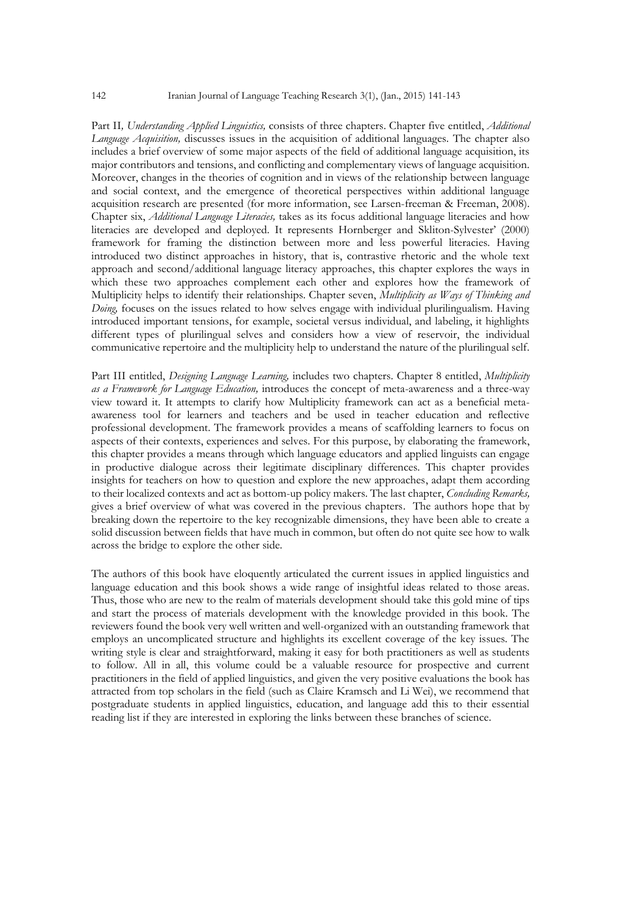Part II*, Understanding Applied Linguistics,* consists of three chapters. Chapter five entitled, *Additional Language Acquisition,* discusses issues in the acquisition of additional languages. The chapter also includes a brief overview of some major aspects of the field of additional language acquisition, its major contributors and tensions, and conflicting and complementary views of language acquisition. Moreover, changes in the theories of cognition and in views of the relationship between language and social context, and the emergence of theoretical perspectives within additional language acquisition research are presented (for more information, see Larsen-freeman & Freeman, 2008). Chapter six, *Additional Language Literacies,* takes as its focus additional language literacies and how literacies are developed and deployed. It represents Hornberger and Skliton-Sylvester' (2000) framework for framing the distinction between more and less powerful literacies. Having introduced two distinct approaches in history, that is, contrastive rhetoric and the whole text approach and second/additional language literacy approaches, this chapter explores the ways in which these two approaches complement each other and explores how the framework of Multiplicity helps to identify their relationships. Chapter seven, *Multiplicity as Ways of Thinking and Doing,* focuses on the issues related to how selves engage with individual plurilingualism. Having introduced important tensions, for example, societal versus individual, and labeling, it highlights different types of plurilingual selves and considers how a view of reservoir, the individual communicative repertoire and the multiplicity help to understand the nature of the plurilingual self.

Part III entitled, *Designing Language Learning,* includes two chapters. Chapter 8 entitled, *Multiplicity as a Framework for Language Education,* introduces the concept of meta-awareness and a three-way view toward it. It attempts to clarify how Multiplicity framework can act as a beneficial metaawareness tool for learners and teachers and be used in teacher education and reflective professional development. The framework provides a means of scaffolding learners to focus on aspects of their contexts, experiences and selves. For this purpose, by elaborating the framework, this chapter provides a means through which language educators and applied linguists can engage in productive dialogue across their legitimate disciplinary differences. This chapter provides insights for teachers on how to question and explore the new approaches, adapt them according to their localized contexts and act as bottom-up policy makers. The last chapter, *Concluding Remarks,* gives a brief overview of what was covered in the previous chapters. The authors hope that by breaking down the repertoire to the key recognizable dimensions, they have been able to create a solid discussion between fields that have much in common, but often do not quite see how to walk across the bridge to explore the other side.

The authors of this book have eloquently articulated the current issues in applied linguistics and language education and this book shows a wide range of insightful ideas related to those areas. Thus, those who are new to the realm of materials development should take this gold mine of tips and start the process of materials development with the knowledge provided in this book. The reviewers found the book very well written and well-organized with an outstanding framework that employs an uncomplicated structure and highlights its excellent coverage of the key issues. The writing style is clear and straightforward, making it easy for both practitioners as well as students to follow. All in all, this volume could be a valuable resource for prospective and current practitioners in the field of applied linguistics, and given the very positive evaluations the book has attracted from top scholars in the field (such as Claire Kramsch and Li Wei), we recommend that postgraduate students in applied linguistics, education, and language add this to their essential reading list if they are interested in exploring the links between these branches of science.